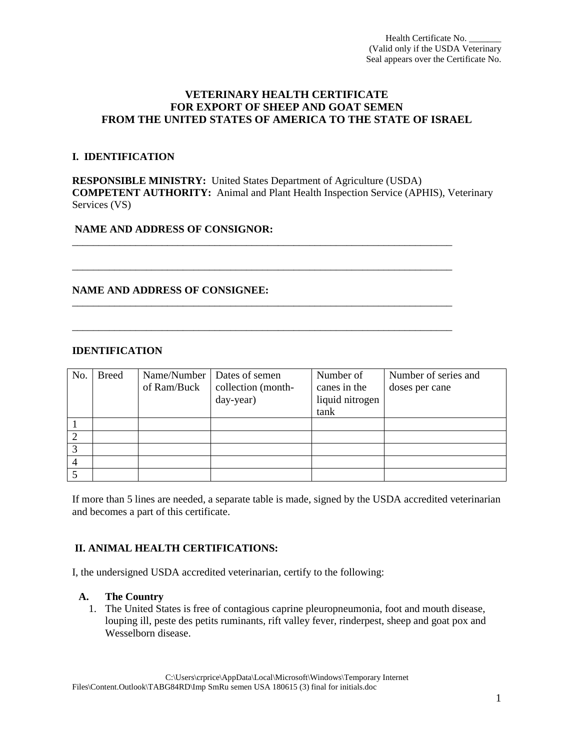# **VETERINARY HEALTH CERTIFICATE FOR EXPORT OF SHEEP AND GOAT SEMEN FROM THE UNITED STATES OF AMERICA TO THE STATE OF ISRAEL**

## **I. IDENTIFICATION**

**RESPONSIBLE MINISTRY:** United States Department of Agriculture (USDA) **COMPETENT AUTHORITY:** Animal and Plant Health Inspection Service (APHIS), Veterinary Services (VS)

\_\_\_\_\_\_\_\_\_\_\_\_\_\_\_\_\_\_\_\_\_\_\_\_\_\_\_\_\_\_\_\_\_\_\_\_\_\_\_\_\_\_\_\_\_\_\_\_\_\_\_\_\_\_\_\_\_\_\_\_\_\_\_\_\_\_\_\_\_\_\_\_

\_\_\_\_\_\_\_\_\_\_\_\_\_\_\_\_\_\_\_\_\_\_\_\_\_\_\_\_\_\_\_\_\_\_\_\_\_\_\_\_\_\_\_\_\_\_\_\_\_\_\_\_\_\_\_\_\_\_\_\_\_\_\_\_\_\_\_\_\_\_\_\_

\_\_\_\_\_\_\_\_\_\_\_\_\_\_\_\_\_\_\_\_\_\_\_\_\_\_\_\_\_\_\_\_\_\_\_\_\_\_\_\_\_\_\_\_\_\_\_\_\_\_\_\_\_\_\_\_\_\_\_\_\_\_\_\_\_\_\_\_\_\_\_\_

\_\_\_\_\_\_\_\_\_\_\_\_\_\_\_\_\_\_\_\_\_\_\_\_\_\_\_\_\_\_\_\_\_\_\_\_\_\_\_\_\_\_\_\_\_\_\_\_\_\_\_\_\_\_\_\_\_\_\_\_\_\_\_\_\_\_\_\_\_\_\_\_

# **NAME AND ADDRESS OF CONSIGNOR:**

# **NAME AND ADDRESS OF CONSIGNEE:**

## **IDENTIFICATION**

| No. | <b>Breed</b> | of Ram/Buck | Name/Number   Dates of semen<br>collection (month-<br>day-year) | Number of<br>canes in the<br>liquid nitrogen<br>tank | Number of series and<br>doses per cane |
|-----|--------------|-------------|-----------------------------------------------------------------|------------------------------------------------------|----------------------------------------|
|     |              |             |                                                                 |                                                      |                                        |
|     |              |             |                                                                 |                                                      |                                        |
|     |              |             |                                                                 |                                                      |                                        |
| 4   |              |             |                                                                 |                                                      |                                        |
|     |              |             |                                                                 |                                                      |                                        |

If more than 5 lines are needed, a separate table is made, signed by the USDA accredited veterinarian and becomes a part of this certificate.

# **II. ANIMAL HEALTH CERTIFICATIONS:**

I, the undersigned USDA accredited veterinarian, certify to the following:

## **A. The Country**

1. The United States is free of contagious caprine pleuropneumonia, foot and mouth disease, louping ill, peste des petits ruminants, rift valley fever, rinderpest, sheep and goat pox and Wesselborn disease.